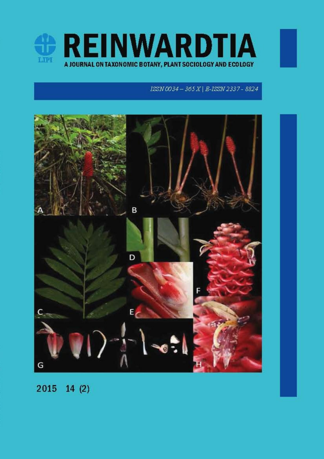

## ISSN 0034 - 365 X | E-ISSN 2337 - 8824



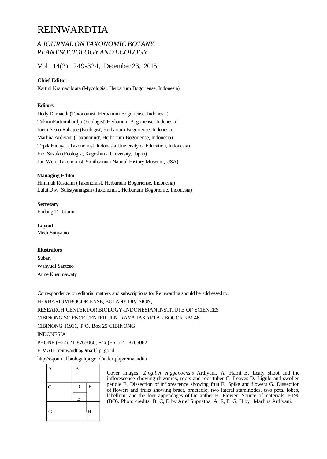# REINWARDTIA

## *A JOURNAL ON TAXONOMIC BOTANY, PLANT SOCIOLOGY AND ECOLOGY*

Vol. 14(2): 249-324, December 23, 2015

## **Chief Editor**

Kartini Kramadibrata (Mycologist, Herbarium Bogoriense, Indonesia)

### **Editors**

Dedy Darnaedi (Taxonomist, Herbarium Bogoriense, Indonesia) TukirinPartomihardjo (Ecologist, Herbarium Bogoriense, Indonesia) Joeni Setijo Rahajoe (Ecologist, Herbarium Bogoriense, Indonesia) Marlina Ardiyani (Taxonomist, Herbarium Bogoriense, Indonesia) Topik Hidayat (Taxonomist, Indonesia University of Education, Indonesia) Eizi Suzuki (Ecologist, Kagoshima University, Japan) Jun Wen (Taxonomist, Smithsonian Natural History Museum, USA)

### **Managing Editor**

Himmah Rustiami (Taxonomist, Herbarium Bogoriense, Indonesia) Lulut Dwi Sulistyaningsih (Taxonomist, Herbarium Bogoriense, Indonesia)

**Secretary** Endang Tri Utami

**Layout** Medi Sutiyatno

### **Illustrators**

Subari Wahyudi Santoso Anne Kusumawaty

Correspondence on editorial matters and subscriptions for Reinwardtia should be addressed to: HERBARIUM BOGORIENSE, BOTANY DIVISION, RESEARCH CENTER FOR BIOLOGY-INDONESIAN INSTITUTE OF SCIENCES CIBINONG SCIENCE CENTER, JLN. RAYA JAKARTA - BOGOR KM 46, CIBINONG 16911, P.O. Box 25 CIBINONG INDONESIA PHONE (+62) 21 8765066; Fax (+62) 21 8765062 E-MAIL: reinwardtia@mail.lipi.go.id

http://e-journal.biologi.lipi.go.id/index.php/reinwardtia

| A              | $\bf{B}$                |                   |
|----------------|-------------------------|-------------------|
| $\mathbf C$    | $\mathbf D$             | $\mathbf{F}$<br>ž |
|                | $\overline{\mathbf{E}}$ |                   |
| $\overline{G}$ |                         | H                 |

Cover images: *Zingiber engganoensis* Ardiyani. A. Habit B. Leafy shoot and the inflorescence showing rhizomes, roots and root-tuber C. Leaves D. Ligule and swollen petiole E. Dissection of inflorescence showing fruit F. Spike and flowers G. Dissection of flowers and fruits showing bract, bracteole, two lateral staminodes, two petal lobes, labellum, and the four appendages of the anther H. Flower. Source of materials: E190 (BO). Photo credits: B, C, D by Arief Supnatna. A, E, F, G, H by Marlina Ardiyani.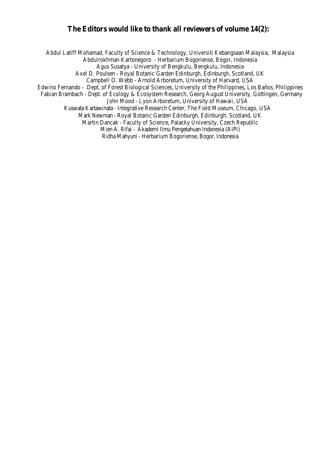## **The Editors would like to thank all reviewers of volume 14(2):**

Abdul Latiff Mohamad, Faculty of Science & Technology, Universiti Kebangsaan Malaysia, Malaysia Abdulrokhman Kartonegoro - Herbarium Bogoriense, Bogor, Indonesia Agus Susatya - University of Bengkulu, Bengkulu, Indonesia Axel D. Poulsen - Royal Botanic Garden Edinburgh, Edinburgh, Scotland, UK Campbell O. Webb - Arnold Arboretum, University of Harvard, USA Edwino Fernando - Dept. of Forest Biological Sciences, University of the Philippines, Los Baños, Philippines Fabian Brambach - Dept. of Ecology & Ecosystem Research, Georg August University, Gottingen, Germany John Mood - Lyon Arboretum, University of Hawaii, USA Kuswata Kartawinata - Integrative Research Center, The Field Museum, Chicago, USA Mark Newman - Royal Botanic Garden Edinburgh, Edinburgh, Scotland, UK Martin Dancak - Faculty of Science, Palacky University, Czech Republic Mien A. Rifai - Akademi Ilmu Pengetahuan Indonesia (AIPI)

Ridha Mahyuni - Herbarium Bogoriense, Bogor, Indonesia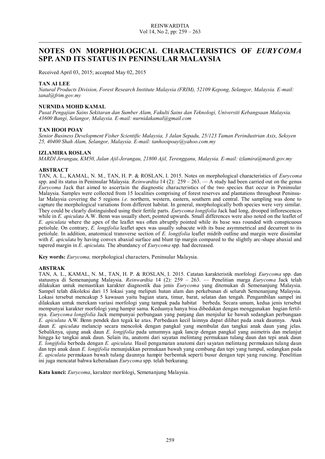## **NOTES ON MORPHOLOGICAL CHARACTERISTICS OF** *EURYCOMA* **SPP. AND ITS STATUS IN PENINSULAR MALAYSIA**

Received April 03, 2015; accepted May 02, 2015

#### **TAN AI LEE**

*Natural Products Division, Forest Research Institute Malaysia (FRIM), 52109 Kepong, Selangor, Malaysia. E-mail: tanal@frim.gov.my*

#### **NURNIDA MOHD KAMAL**

*Pusat Pengajian Sains Sekitaran dan Sumber Alam, Fakulti Sains dan Teknologi, Universiti Kebangsaan Malaysia. 43600 Bangi, Selangor, Malaysia. E-mail: nurnidakamal@gmail.com*

#### **TAN HOOI POAY**

*Senior Business Development Fisher Scientific Malaysia, 3 Jalan Sepadu, 25/123 Taman Perindustrian Axix, Seksyen 25, 40400 Shah Alam, Selangor, Malaysia. E-mail: tanhooipoay@yahoo.com.my*

#### **IZLAMIRA ROSLAN**

*MARDI Jerangau, KM50, Jalan Ajil-Jerangau, 21800 Ajil, Terengganu, Malaysia. E-mail: izlamira@mardi.gov.my*

#### **ABSTRACT**

TAN, A. L., KAMAL, N. M., TAN, H. P. & ROSLAN, I. 2015. Notes on morphological characteristics of *Eurycoma* spp. and its status in Peninsular Malaysia. *Reinwardtia* 14 (2): 259 – 263. — A study had been carried out on the genus *Eurycoma* Jack that aimed to ascertain the diagnostic characteristics of the two species that occur in Peninsular Malaysia. Samples were collected from 15 localities comprising of forest reserves and plantations throughout Peninsular Malaysia covering the 5 regions *i.e.* northern, western, eastern, southern and central. The sampling was done to capture the morphological variations from different habitat. In general, morphologically both species were very similar. They could be clearly distinguished using their fertile parts. *Eurycoma longifolia* Jack had long, drooped inflorescences while in *E. apiculata* A.W. Benn was usually short, pointed upwards. Small differences were also noted on the leaflet of *E. apiculata* where the apex of the leaflet was often abruptly pointed while its base was rounded with conspicuous petiolule. On contrary, *E. longifolia* leaflet apex was usually subacute with its base asymmetrical and decurrent to its petiolule. In addition, anatomical transverse section of *E. longifolia* leaflet midrib outline and margin were dissimilar with *E. apiculata* by having convex abaxial surface and blunt tip margin compared to the slightly arc-shape abaxial and tapered margin in *E. apiculata*. The abundancy of *Eurycoma* spp. had decreased.

**Key words:** *Eurycoma,* morphological characters, Peninsular Malaysia.

#### **ABSTRAK**

TAN, A. L., KAMAL, N. M., TAN, H. P. & ROSLAN, I. 2015. Catatan karakteristik morfologi *Eurycoma* spp. dan statusnya di Semenanjung Malaysia. *Reinwardtia* 14 (2): 259 ‒ 263. — Penelitian marga *Eurycoma* Jack telah dilakukan untuk memastikan karakter diagnostik dua jenis *Eurycoma* yang ditemukan di Semenanjung Malaysia. Sampel telah dikoleksi dari 15 lokasi yang meliputi hutan alam dan perkebunan di seluruh Semenanjung Malaysia. Lokasi tersebut mencakup 5 kawasan yaitu bagian utara, timur, barat, selatan dan tengah. Pengambilan sampel ini dilakukan untuk merekam variasi morfologi yang tampak pada habitat berbeda. Secara umum, kedua jenis tersebut mempunyai karakter morfologi yang hampir sama. Keduanya hanya bisa dibedakan dengan menggunakan bagian fertilnya. *Eurycoma longifolia* Jack mempunyai perbungaan yang panjang dan menjulur ke bawah sedangkan perbungaan *E. apiculata* A.W. Benn pendek dan tegak ke atas. Perbedaan kecil lainnya dapat dilihat pada anak daunnya. Anak daun *E. apiculata* melancip secara mencolok dengan pangkal yang membulat dan tangkai anak daun yang jelas. Sebaliknya, ujung anak daun *E. longifolia* pada umumnya agak lancip dengan pangkal yang asimetris dan melanjut hingga ke tangkai anak daun. Selain itu, anatomi dari sayatan melintang permukaan tulang daun dan tepi anak daun *E. longifolia* berbeda dengan *E. apiculata.* Hasil pengamatan anatomi dari sayatan melintang permukaan tulang daun dan tepi anak daun *E. longifolia* menunjukkan permukaan bawah yang cembung dan tepi yang tumpul, sedangkan pada *E. apiculata* permukaan bawah tulang daunnya hampir berbentuk seperti busur dengan tepi yang runcing*.* Penelitian ini juga mencatat bahwa keberadaan *Eurycoma* spp. telah berkurang*.*

**Kata kunci:** *Eurycoma*, karakter morfologi, Semenanjung Malaysia.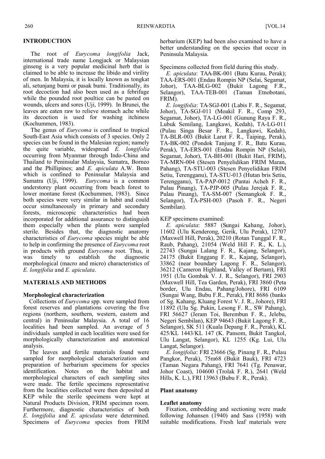### **INTRODUCTION**

 The root of *Eurycoma longifolia* Jack, international trade name Longjack or Malaysian ginseng is a very popular medicinal herb that is claimed to be able to increase the libido and virility of men. In Malaysia, it is locally known as tongkat ali, setunjang bumi or pasak bumi. Traditionally, its root decoction had also been used as a febrifuge while the pounded root poultice can be pasted on wounds, ulcers and sores (Uji, 1999). In Brunei, the leaves are eaten raw to relieve stomach ache while its decoction is used for washing itchiness (Kochummen, 1983).

 The genus of *Eurycoma* is confined to tropical South-East Asia which consists of 3 species. Only 2 species can be found in the Malesian region; namely the quite variable, widespread *E. longifolia* occurring from Myanmar through Indo-China and Thailand to Peninsular Malaysia, Sumatra, Borneo and the Phillipines; and *E. apiculata* A.W. Benn which is confined to Peninsular Malaysia and Sumatra (Uji, 1999). *Eurycoma* is a common understorey plant occurring from beach forest to lower montane forest (Kochummen, 1983). Since both species were very similar in habit and could occur simultaneously in primary and secondary forests, microscopic characteristics had been incorporated for additional assurance to distinguish them especially when the plants were sampled sterile. Besides that, the diagnostic anatomy characteristics of *Eurycoma* species might be able to help in confirming the presence of *Eurycoma* root in products with ground *Eurycoma* root. Thus, it was timely to establish the diagnostic morphological (macro and micro) characteristics of *E. longifolia* and *E. apiculata*.

### **MATERIALS AND METHODS**

### **Morphological characterization**

 Collections of *Eurycoma* spp. were sampled from forest reserves and plantations covering the five regions (northern, southern, western, eastern and central) in Peninsular Malaysia. A total of 16 localities had been sampled. An average of 5 individuals sampled in each localities were used for morphologically characterization and anatomical analysis.

 The leaves and fertile materials found were sampled for morphological characterization and preparation of herbarium specimens for species identification. Notes on the habitat and morphological characters of each sampling sites were made. The fertile specimens representative from the localities collected were then deposited at KEP while the sterile specimens were kept at Natural Products Division, FRIM specimen room. Furthermore, diagnostic characteristics of both *E. longifolia* and *E. apiculata* were determined. Specimens of *Eurycoma* species from FRIM

herbarium (KEP) had been also examined to have a better understanding on the species that occur in Peninsula Malaysia.

Specimens collected from field during this study.

 *E. apiculata*: TAA-BK-001 (Batu Kurau, Perak); TAA-ERS-001 (Endau Rompin NP (Selai, Segamat, Johor), TAA-BLG-002 (Bukit Lagong F.R., Selangor), TAA-TEB-001 (Taman Etnobotani, FRIM).

 *E. longifolia*: TA-SGJ-001 (Labis F. R., Segamat, Johor), TA-SGJ-011 (Moakil F. R., Comp 293, Segamat, Johor), TA-LG-001 (Gunung Raya F. R., Lubuk Semilang, Langkawi, Kedah), TA-LG-011 (Pulau Singa Besar F. R., Langkawi, Kedah), TA-BLR-003 (Bukit Larut F. R., Taiping, Perak), TA-BK-002 (Pondok Tanjung F. R., Batu Kurau, Perak), TA-ERS-001 (Endau Rompin NP (Selai), Segamat, Johor), TA-BH-001 (Bukit Hari, FRIM), TA-MRN-004 (Stesen Penyelidikan FRIM Maran, Pahang), TA-STU-003 (Stesen Penyelidikan FRIM Setiu, Terengganu), TA-STU-013 (Hutan bris Setiu, Terengganu), TA-PAP-0012 (Pantai Acheh F. R., Pulau Pinang), TA-PJP-005 (Pulau Jerejak F. R., Pulau Pinang), TA-SM-007 (Semangkok F. R., Selangor), TA-PSH-003 (Pasoh F. R., Negeri Sembilan).

KEP specimens examined:

 *E. apiculata*: 5887 (Sungai Kahang, Johor), 11602 (Ulu Kenderong, Gerik, Ulu Perak), 12707 (Maxwell Hill, Perak), 20210 (Rotan Tunggal F. R., Raub, Pahang), 21054 (Weld Hill F. R., K. L.), 22743 (Sungai Lalang F. R., Kajang, Selangor), 24175 (Bukit Enggang F. R., Kajang, Selangor), 33862 (near boundary Lagong F. R., Selangor), 36212 (Cameron Highland, Valley of Bertam), FRI 1951 (Ulu Gombak V. J. R., Selangor), FRI 2903 (Maxwell Hill, Tea Garden, Perak), FRI 3860 (Peta border, Ulu Endau, Pahang/Johore), FRI 6109 (Sungai Wang, Bubu F.R., Perak), FRI 8686 (banks of Sg. Kahang, Kluang Forest V. J. R., Johore), FRI 11892 (Ulu Sg. Pukin, Lesong F. R., SW Pahang), FRI 56627 (Jeram Toi, Berembun F. R., Jelebu, Negeri Sembilan), KEP 94643 (Bukit Lagong F. R., Selangor), SK 511 (Kuala Depang F. R., Perak), KL 425/KL 1443/KL 147 (K. Pansom, Bukit Tangkol, Ulu Langat, Selangor), KL 1255 (Kg. Lui, Ulu Langat, Selangor).

 *E. longifolia*: FRI 23666 (Sg. Pinang F. R., Pulau Pangkor, Perak), 75m68 (Bukit Bauk), FRI 4723 (Taman Negara Pahang), FRI 7641 (Tg. Penawar, Johor Coast), 104600 (Trolak F. R.), 2641 (Weld Hills, K. L.), FRI 13963 (Bubu F. R., Perak).

### **Plant anatomy**

#### **Leaflet anatomy**

 Fixation, embedding and sectioning were made following Johansen (1940) and Sass (1958) with suitable modifications. Fresh leaf materials were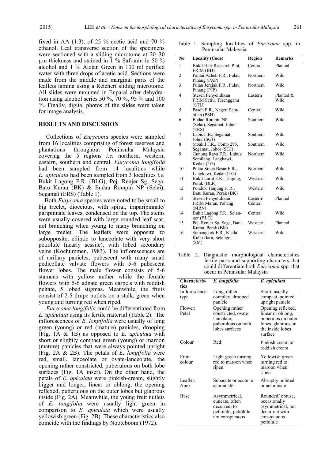fixed in AA (1:3), of 25  $\%$  acetic acid and 70  $\%$ ethanol. Leaf transverse section of the specimens were sectioned with a sliding microtome at 20–30 µm thickness and stained in 1 % Safranin in 50 % alcohol and 1 % Alcian Green in 100 ml purified water with three drops of acetic acid. Sections were made from the middle and marginal parts of the leaflets lamina using a Reichert sliding microtome. All slides were mounted in Euparal after dehydration using alcohol series 50 %, 70 %, 95 % and 100 %. Finally, digital photos of the slides were taken for image analysis.

#### **RESULTS AND DISCUSSION**

Collections of *Eurycoma* species were sampled from 16 localities comprising of forest reserves and plantations throughout Peninsular Malaysia covering the 5 regions *i.e.* northern, western, eastern, southern and central. *Eurycoma longifolia* had been sampled from 14 localities while *E. apiculata* had been sampled from 3 localities *i.e.* Bukit Lagong F.R. (BLG), Pej. Renjer Sg. Sega, Batu Kurau (BK) & Endau Rompin NP (Selai), Segamat (ERS) (Table 1).

 Both *Eurycoma* species were noted to be small to big treelet, dioecious, with spiral, imparipinnate/ paripinnate leaves, condensed on the top. The stems were usually covered with large rounded leaf scar, not branching when young to many branching on large treelet. The leaflets were opposite to subopposite, elliptic to lanceolate with very short petiolule (nearly sessile), with lobed secondary veins (Kochummen, 1983). The inflorescences are of axillary panicles, pubescent with many small pedicellate valvate flowers with 5-6 pubescent flower lobes. The male flower consists of 5-6 stamens with yellow anther while the female flowers with 5-6 adnate green carpels with reddish peltate, 5 lobed stigmas. Meanwhile, the fruits consist of 2-5 drupe nutlets on a stalk, green when young and turning red when riped.

 *Eurycoma longifolia* could be differentiated from *E. apiculata* using its fertile material (Table 2). The inflorescences of *E. longifolia* were usually of long green (young) or red (mature) panicles, drooping (Fig. 1A & 1B) as opposed to *E. apiculata* with short or slightly compact green (young) or maroon (mature) panicles that were always pointed upright (Fig. 2A & 2B). The petals of *E. longifolia* were red, small, lanceolate or ovate-lanceolate, the opening rather constricted, puberulous on both lobe surfaces (Fig. 1A inset). On the other hand, the petals of *E. apiculata* were pinkish-cream, slightly bigger and longer, linear or oblong, the opening reflexed, puberulous on the outer lobes but glabrous inside (Fig. 2A). Meanwhile, the young fruit nutlets of *E. longifolia* were usually light green in comparison to *E. apiculata* which were usually yellowish green (Fig. 2B). These characteristics also coincide with the findings by Nooteboom (1972).

|                | Table 1. Sampling localities of <i>Eurycoma</i> spp. in<br>Peninsular Malaysia |         |                |
|----------------|--------------------------------------------------------------------------------|---------|----------------|
| N <sub>0</sub> | <b>Locality (Code)</b>                                                         | Region  | <b>Remarks</b> |
|                | Bukit Hari Research Plot,<br>FRIM (BH)                                         | Central | Planted        |

| 1  | Bukit Hari Research Plot,             | Central  | Planted      |
|----|---------------------------------------|----------|--------------|
|    | FRIM (BH)                             |          |              |
| 2  | Pantai Acheh F.R., Pulau              | Northern | Wild         |
|    | Pinang (PAP)                          |          |              |
| 3  | Pulau Jerejak F.R., Pulau             | Northern | Wild         |
|    | Pinang (PJP)                          |          |              |
| 4  | Stesen Penyelidikan                   | Eastern  | Planted $\&$ |
|    | FRIM Setiu, Terengganu                |          | Wild         |
|    | (STU)                                 |          |              |
| 5  | Pasoh F.R., Negeri Sem-               | Central  | Wild         |
|    | bilan (PSH)                           |          |              |
| 6  | Endau Rompin NP                       | Southern | Wild         |
|    | (Selai), Segamat, Johor               |          |              |
|    | (ERS)                                 |          |              |
| 7  | Labis F.R., Segamat,                  | Southern | Wild         |
| 8  | Johor (SGJ)<br>Moakil F.R., Comp 293, | Southern | Wild         |
|    | Segamat, Johor (SGJ)                  |          |              |
| 9  | Gunung Raya F.R., Lubuk               | Northern | Wild         |
|    | Semilang, Langkawi,                   |          |              |
|    | Kedah (LG)                            |          |              |
| 10 | Pulau Singa Besar F.R.,               | Northern | Wild         |
|    | Langkawi, Kedah (LG)                  |          |              |
| 11 | Bukit Larut F.R., Taiping,            | Western  | Wild         |
|    | Perak (BLR)                           |          |              |
| 12 | Pondok Tanjung F. R.,                 | Western  | Wild         |
|    | Batu Kurau, Perak (BK)                |          |              |
| 13 | Stesen Penyelidikan                   | Eastern/ | Planted      |
|    | FRIM Maran, Pahang                    | Central  |              |
|    | (MRN)                                 |          |              |
| 14 | Bukit Lagong F.R., Selan-             | Central  | Wild         |
|    | gor (BLG)                             |          |              |
| 15 | Pej. Renjer Sg. Sega, Batu            | Western  | Planted      |
|    | Kurau, Perak (BK)                     |          |              |
| 16 | Semangkok F.R., Kuala                 | Western  | Wild         |
|    | Kubu Baru, Selangor                   |          |              |
|    | (SM)                                  |          |              |

Table 2. Diagnostic morphological characteristics fertile parts and supporting characters that could differentiate both *Eurycoma* spp. that occur in Peninsular Malaysia

| <b>Characteris-</b><br>tics | E. longifolia                                                                               | E. apiculata                                                                                                      |
|-----------------------------|---------------------------------------------------------------------------------------------|-------------------------------------------------------------------------------------------------------------------|
| Inflorescence<br>type       | Long, rather<br>complex, drooped<br>panicle                                                 | Short, usually<br>compact, pointed<br>upright panicle                                                             |
| Flower:<br>Petal            | Opening rather<br>constricted, ovate-<br>lancolate.<br>puberulous on both<br>lobes surfaces | Opening reflexed,<br>linear or oblong,<br>puberulos on outer<br>lobes, glabrous on<br>the inside lobes<br>surface |
| Colour                      | Red                                                                                         | Pinkish cream or<br>reddish cream                                                                                 |
| Fruit<br>colour             | Light green turning<br>red to maroon when<br>ripen                                          | Yellowish green<br>turning red to<br>maroon when<br>ripen                                                         |
| Leaflet:<br>Apex            | Subacute or acute to<br>acuminate                                                           | Abruptly pointed<br>or acuminate                                                                                  |
| <b>Base</b>                 | Asymmetrical,<br>cuneate, often<br>decurrent to<br>petiolule; petiolule<br>not conspicuous  | Rounded/obtuse,<br>occasionally<br>asymmetrical, not<br>decurrent with<br>conspicuous<br>petiolule                |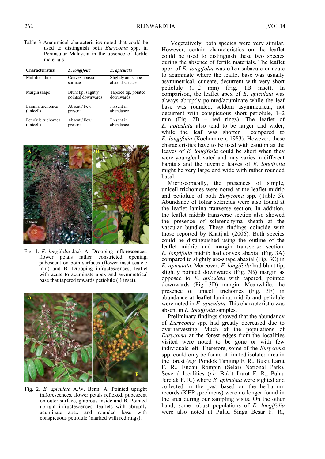Table 3 Anatomical characteristics noted that could be used to distinguish both *Eurycoma* spp. in Peninsular Malaysia in the absence of fertile materials

| <b>Characteristics</b>           | E. longifolia                            | E. apiculata                          |
|----------------------------------|------------------------------------------|---------------------------------------|
| Midrib outline                   | Convex abaxial<br>surface                | Slightly arc-shape<br>abaxial surface |
| Margin shape                     | Blunt tip, slightly<br>pointed downwards | Tapered tip, pointed<br>downwards     |
| Lamina trichomes<br>(unicell)    | Absent / Few<br>present                  | Present in<br>abundance               |
| Petiolule trichomes<br>(unicell) | Absent / Few<br>present                  | Present in<br>abundance               |



Fig. 1. *E. longifolia* Jack A. Drooping inflorescences, flower petals rather constricted opening, pubescent on both surfaces (flower inset-scale 5 mm) and B. Drooping infructescences; leaflet with acute to acuminate apex and asymmetrical base that tapered towards petiolule (B inset).



Fig. 2. *E. apiculata* A.W. Benn. A. Pointed upright inflorescences, flower petals reflexed, pubescent on outer surface, glabrous inside and B. Pointed upright infructescences, leaflets with abruptly acuminate apex and rounded base with conspicuous petiolule (marked with red rings).

 Vegetatively, both species were very similar. However, certain characteristics on the leaflet could be used to distinguish these two species during the absence of fertile materials. The leaflet apex of *E. longifolia* was often subacute or acute to acuminate where the leaflet base was usually asymmetrical, cuneate, decurrent with very short petiolule (1−2 mm) (Fig. 1B inset). In comparison, the leaflet apex of *E. apiculata* was always abruptly pointed/acuminate while the leaf base was rounded, seldom asymmetrical, not decurrent with conspicuous short petiolule,  $1-2$ mm (Fig. 2B – red rings). The leaflet of *E. apiculata* also tend to be larger and wider, while the leaf was shorter *E. longifolia* (Kochummen, 1983). However, these characteristics have to be used with caution as the leaves of *E. longifolia* could be short when they were young/cultivated and may varies in different habitats and the juvenile leaves of *E. longifolia* might be very large and wide with rather rounded basal.

 Microscopically, the presences of simple, unicell trichomes were noted at the leaflet midrib and petiolule of both *Eurycoma* spp. (Table 3). Abundance of foliar sclereids were also found at the leaflet lamina tranverse section. In addition, the leaflet midrib transverse section also showed the presence of sclerenchyma sheath at the vascular bundles. These findings coincide with those reported by Khatijah (2006). Both species could be distinguished using the outline of the leaflet midrib and margin transverse section. *E. longifolia* midrib had convex abaxial (Fig. 3A) compared to slightly arc-shape abaxial (Fig. 3C) in *E. apiculata*. Moreover, *E. longifoila* had blunt tip, slightly pointed downwards (Fig. 3B) margin as opposed to *E. apiculata* with tapered, pointed downwards (Fig. 3D) margin. Meanwhile, the presence of unicell trichomes (Fig. 3E) in abundance at leaflet lamina, midrib and petiolule were noted in *E. apiculata.* This characteristic was absent in *E. longifolia* samples.

 Preliminary findings showed that the abundancy of *Eurycoma* spp. had greatly decreased due to overharvesting. Much of the populations of *Eurycoma* at the forest edges from the localities visited were noted to be gone or with few individuals left. Therefore, some of the *Eurycoma* spp. could only be found at limited isolated area in the forest (*e.g.* Pondok Tanjung F. R., Bukit Larut F. R., Endau Rompin (Selai) National Park). Several localities (*i.e.* Bukit Larut F. R., Pulau Jerejak F. R.) where *E. apiculata* were sighted and collected in the past based on the herbarium records (KEP specimens) were no longer found in the area during our sampling visits. On the other hand, some robust populations of *E. longifolia*  were also noted at Pulau Singa Besar F. R.,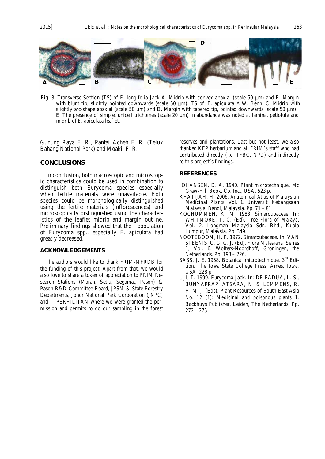

Fig. 3. Transverse Section (TS) of *E. longifolia* Jack A. Midrib with convex abaxial (scale 50 µm) and B. Margin with blunt tip, slightly pointed downwards (scale 50 µm). TS of *E. apiculata* A.W. Benn. C. Midrib with slightly arc-shape abaxial (scale 50  $\mu$ m) and D. Margin with tapered tip, pointed downwards (scale 50  $\mu$ m). E. The presence of simple, unicell trichomes (scale 20  $\mu$ m) in abundance was noted at lamina, petiolule and midrib of *E. apiculata* leaflet.

Gunung Raya F. R., Pantai Acheh F. R. (Teluk Bahang National Park) and Moakil F. R.

#### **CONCLUSIONS**

 In conclusion, both macroscopic and microscopic characteristics could be used in combination to distinguish both *Eurycoma* species especially when fertile materials were unavailable. Both species could be morphologically distinguished using the fertile materials (inflorescences) and microscopically distinguished using the characteristics of the leaflet midrib and margin outline. Preliminary findings showed that the population of *Eurycoma* spp., especially *E. apiculata* had greatly decreased.

#### **ACKNOWLEDGEMENTS**

 The authors would like to thank FRIM-MFRDB for the funding of this project. Apart from that, we would also love to share a token of appreciation to FRIM Research Stations (Maran, Setiu, Segamat, Pasoh) & Pasoh R&D Committee Board, JPSM & State Forestry Departments, Johor National Park Corporation (JNPC) and PERHILITAN where we were granted the permission and permits to do our sampling in the forest

reserves and plantations. Last but not least, we also thanked KEP herbarium and all FRIM's staff who had contributed directly (*i.e.* TFBC, NPD) and indirectly to this project's findings.

#### **REFERENCES**

- JOHANSEN, D. A. 1940. *Plant microtechnique*. Mc Graw-Hill Book. Co. Inc., USA. 523 p.
- KHATIJAH, H. 2006. *Anatomical Atlas of Malaysian Medicinal Plants*. Vol. 1. Universiti Kebangsaan Malaysia. Bangi, Malaysia. Pp. 71 – 81.
- KOCHUMMEN, K. M. 1983. Simaroubaceae. In: WHITMORE, T. C. (Ed). *Tree Flora of Malaya*. Vol. 2. Longman Malaysia Sdn. Bhd., Kuala Lumpur, Malaysia. Pp. 349.
- NOOTEBOOM, H. P. 1972. Simaroubaceae. In: VAN STEENIS, C. G. G. J. (Ed). *Flora Malesiana* Series 1, Vol. 6. Wolters-Noordhoff, Groningen, the Netherlands. Pp. 193 – 226.
- SASS, J. E. 1958. Botanical microtechnique. 3<sup>rd</sup> Edition. The Iowa State College Press, Ames, Iowa. USA. 228 p.
- UJI, T. 1999. *Eurycoma* Jack. In: DE PADUA, L. S., BUNYAPRAPHATSARA, N. & LEMMENS, R. H. M. J. (Eds). Plant Resources of South-East Asia No. 12 (1): *Medicinal and poisonous plants* 1. Backhuys Publisher, Leiden, The Netherlands. Pp.  $272 - 275.$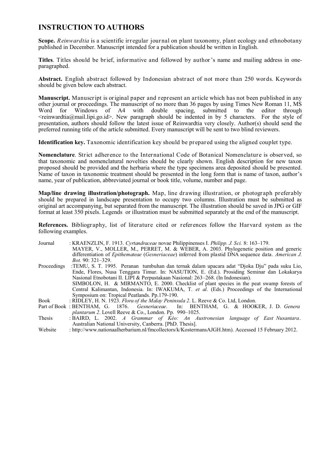## **INSTRUCTION TO AUTHORS**

**Scope.** *Reinwardtia* is a scientific irregular journal on plant taxonomy, plant ecology and ethnobotany published in December. Manuscript intended for a publication should be written in English.

**Titles**. Titles should be brief, informative and followed by author's name and mailing address in oneparagraphed.

**Abstract.** English abstract followed by Indonesian abstract of not more than 250 words. Keywords should be given below each abstract.

**Manuscript.** Manuscript is original paper and represent an article which has not been published in any other journal or proceedings. The manuscript of no more than 36 pages by using Times New Roman 11, MS<br>Word for Windows of A4 with double spacing, submitted to the editor through submitted to <reinwardtia@mail.lipi.go.id>. New paragraph should be indented in by 5 characters. For the style of presentation, authors should follow the latest issue of Reinwardtia very closely. Author(s) should send the preferred running title of the article submitted. Every manuscript will be sent to two blind reviewers.

**Identification key.** Taxonomic identification key should be prepared using the aligned couplet type.

**Nomenclature**. Strict adherence to the International Code of Botanical Nomenclature is observed, so that taxonomic and nomenclatural novelties should be clearly shown. English description for new taxon proposed should be provided and the herbaria where the type specimens area deposited should be presented. Name of taxon in taxonomic treatment should be presented in the long form that is name of taxon, author's name, year of publication, abbreviated journal or book title, volume, number and page.

**Map/line drawing illustration/photograph.** Map, line drawing illustration, or photograph preferably should be prepared in landscape presentation to occupy two columns. Illustration must be submitted as original art accompanying, but separated from the manuscript. The illustration should be saved in JPG or GIF format at least 350 pixels. Legends or illustration must be submitted separately at the end of the manuscript.

**References.** Bibliography, list of literature cited or references follow the Harvard system as the following examples.

| Journal     | : KRAENZLIN, F. 1913. Cyrtandraceae novae Philippinenses I. Philipp. J. Sci. 8: 163–179.                   |
|-------------|------------------------------------------------------------------------------------------------------------|
|             | MAYER, V., MOLLER, M., PERRET, M. & WEBER, A. 2003. Phylogenetic position and generic                      |
|             | differentiation of <i>Epithemateae</i> (Gesneriaceae) inferred from plastid DNA sequence data. American J. |
|             | <i>Bot.</i> 90: 321-329.                                                                                   |
| Proceedings | :TEMU, S. T. 1995. Peranan tumbuhan dan ternak dalam upacara adat "Djoka Dju" pada suku Lio,               |
|             | Ende, Flores, Nusa Tenggara Timur. In: NASUTION, E. (Ed.). Prosiding Seminar dan Lokakarya                 |
|             | Nasional Etnobotani II. LIPI & Perpustakaan Nasional: 263–268. (In Indonesian).                            |
|             | SIMBOLON, H. & MIRMANTO, E. 2000. Checklist of plant species in the peat swamp forests of                  |
|             | Central Kalimantan, Indonesia. In: IWAKUMA, T. et al. (Eds.) Proceedings of the International              |
|             | Symposium on: Tropical Peatlands. Pp.179-190.                                                              |
| <b>Book</b> | : RIDLEY, H. N. 1923. Flora of the Malay Peninsula 2. L. Reeve & Co. Ltd, London.                          |
|             | Part of Book : BENTHAM, G. 1876. Gesneriaceae. In: BENTHAM, G. & HOOKER, J. D. Genera                      |
|             | <i>plantarum 2.</i> Lovell Reeve & Co., London. Pp. $990-1025$ .                                           |
| Thesis      | : BAIRD, L. 2002. A Grammar of Kéo: An Austronesian language of East Nusantara.                            |
|             | Australian National University, Canberra. [PhD. Thesis].                                                   |
| Website     | : http://www.nationaalherbarium.nl/fmcollectors/k/KostermansAJGH.htm). Accessed 15 February 2012.          |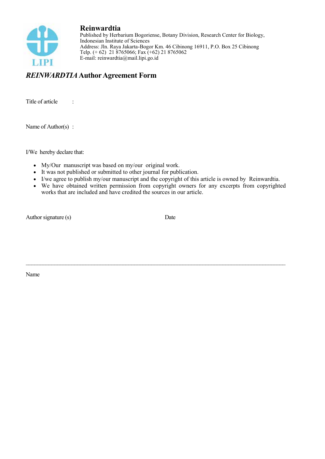

**Reinwardtia** Published by Herbarium Bogoriense, Botany Division, Research Center for Biology, Indonesian Institute of Sciences Address: Jln. Raya Jakarta-Bogor Km. 46 Cibinong 16911, P.O. Box 25 Cibinong Telp. (+ 62) 21 8765066; Fax (+62) 21 8765062 E-mail: reinwardtia@mail.lipi.go.id

## *REINWARDTIA* **Author Agreement Form**

Title of article :

Name of Author(s) :

I/We hereby declare that:

- My/Our manuscript was based on my/our original work.
- It was not published or submitted to other journal for publication.
- I/we agree to publish my/our manuscript and the copyright of this article is owned by Reinwardtia.

 $\_$ 

 We have obtained written permission from copyright owners for any excerpts from copyrighted works that are included and have credited the sources in our article.

Author signature (s) Date

Name